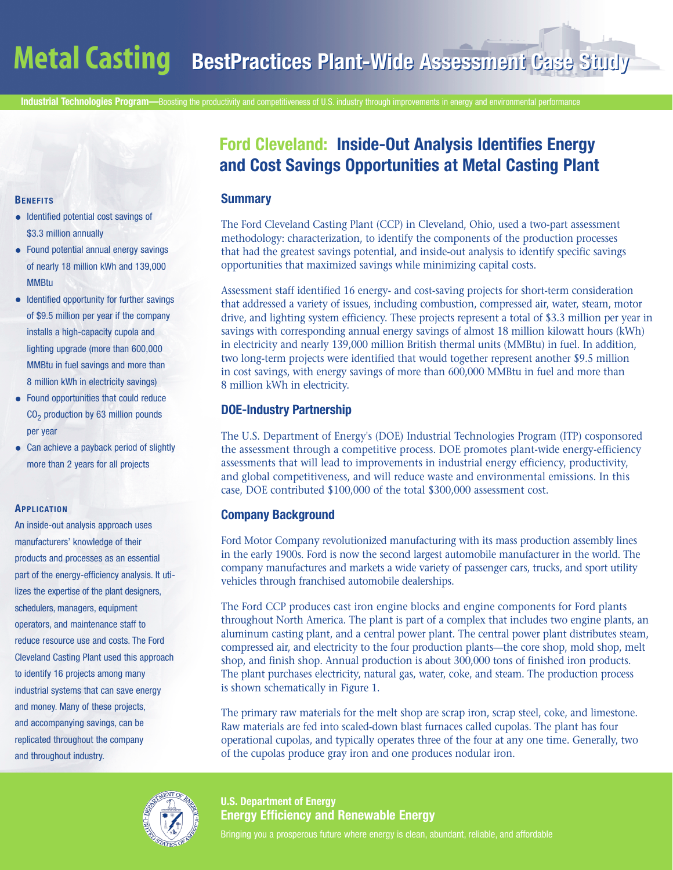**Industrial Technologies Program—**Boosting the productivity and competitiveness of U.S. industry through improvements in energy and environmental performance

#### **BENEFITS**

- Identified potential cost savings of \$3.3 million annually
- Found potential annual energy savings of nearly 18 million kWh and 139,000 **MMRtu**
- Identified opportunity for further savings of \$9.5 million per year if the company installs a high-capacity cupola and lighting upgrade (more than 600,000 MMBtu in fuel savings and more than 8 million kWh in electricity savings)
- Found opportunities that could reduce  $CO<sub>2</sub>$  production by 63 million pounds per year
- Can achieve a payback period of slightly more than 2 years for all projects

#### **APPLICATION**

An inside-out analysis approach uses manufacturers' knowledge of their products and processes as an essential part of the energy-efficiency analysis. It utilizes the expertise of the plant designers, schedulers, managers, equipment operators, and maintenance staff to reduce resource use and costs. The Ford Cleveland Casting Plant used this approach to identify 16 projects among many industrial systems that can save energy and money. Many of these projects, and accompanying savings, can be replicated throughout the company and throughout industry.

# **Ford Cleveland: Inside-Out Analysis Identifies Energy and Cost Savings Opportunities at Metal Casting Plant**

### **Summary**

The Ford Cleveland Casting Plant (CCP) in Cleveland, Ohio, used a two-part assessment methodology: characterization, to identify the components of the production processes that had the greatest savings potential, and inside-out analysis to identify specific savings opportunities that maximized savings while minimizing capital costs.

Assessment staff identified 16 energy- and cost-saving projects for short-term consideration that addressed a variety of issues, including combustion, compressed air, water, steam, motor drive, and lighting system efficiency. These projects represent a total of \$3.3 million per year in savings with corresponding annual energy savings of almost 18 million kilowatt hours (kWh) in electricity and nearly 139,000 million British thermal units (MMBtu) in fuel. In addition, two long-term projects were identified that would together represent another \$9.5 million in cost savings, with energy savings of more than 600,000 MMBtu in fuel and more than 8 million kWh in electricity.

# **DOE-Industry Partnership**

The U.S. Department of Energy's (DOE) Industrial Technologies Program (ITP) cosponsored the assessment through a competitive process. DOE promotes plant-wide energy-efficiency assessments that will lead to improvements in industrial energy efficiency, productivity, and global competitiveness, and will reduce waste and environmental emissions. In this case, DOE contributed \$100,000 of the total \$300,000 assessment cost.

# **Company Background**

Ford Motor Company revolutionized manufacturing with its mass production assembly lines in the early 1900s. Ford is now the second largest automobile manufacturer in the world. The company manufactures and markets a wide variety of passenger cars, trucks, and sport utility vehicles through franchised automobile dealerships.

The Ford CCP produces cast iron engine blocks and engine components for Ford plants throughout North America. The plant is part of a complex that includes two engine plants, an aluminum casting plant, and a central power plant. The central power plant distributes steam, compressed air, and electricity to the four production plants—the core shop, mold shop, melt shop, and finish shop. Annual production is about 300,000 tons of finished iron products. The plant purchases electricity, natural gas, water, coke, and steam. The production process is shown schematically in Figure 1.

The primary raw materials for the melt shop are scrap iron, scrap steel, coke, and limestone. Raw materials are fed into scaled-down blast furnaces called cupolas. The plant has four operational cupolas, and typically operates three of the four at any one time. Generally, two of the cupolas produce gray iron and one produces nodular iron.

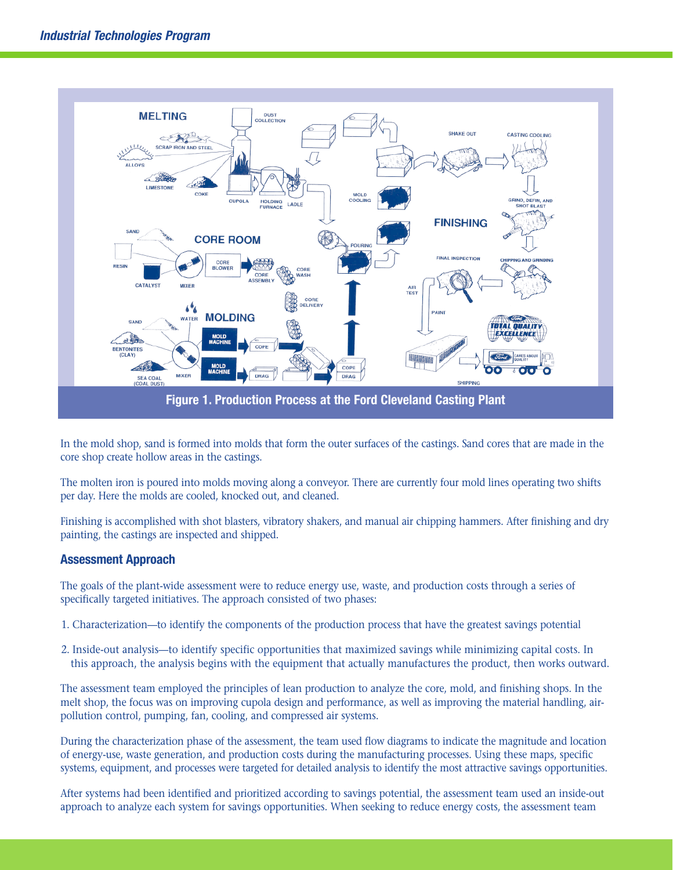

In the mold shop, sand is formed into molds that form the outer surfaces of the castings. Sand cores that are made in the core shop create hollow areas in the castings.

The molten iron is poured into molds moving along a conveyor. There are currently four mold lines operating two shifts per day. Here the molds are cooled, knocked out, and cleaned.

Finishing is accomplished with shot blasters, vibratory shakers, and manual air chipping hammers. After finishing and dry painting, the castings are inspected and shipped.

### **Assessment Approach**

The goals of the plant-wide assessment were to reduce energy use, waste, and production costs through a series of specifically targeted initiatives. The approach consisted of two phases:

- 1. Characterization—to identify the components of the production process that have the greatest savings potential
- 2. Inside-out analysis—to identify specific opportunities that maximized savings while minimizing capital costs. In this approach, the analysis begins with the equipment that actually manufactures the product, then works outward.

The assessment team employed the principles of lean production to analyze the core, mold, and finishing shops. In the melt shop, the focus was on improving cupola design and performance, as well as improving the material handling, airpollution control, pumping, fan, cooling, and compressed air systems.

During the characterization phase of the assessment, the team used flow diagrams to indicate the magnitude and location of energy-use, waste generation, and production costs during the manufacturing processes. Using these maps, specific systems, equipment, and processes were targeted for detailed analysis to identify the most attractive savings opportunities.

After systems had been identified and prioritized according to savings potential, the assessment team used an inside-out approach to analyze each system for savings opportunities. When seeking to reduce energy costs, the assessment team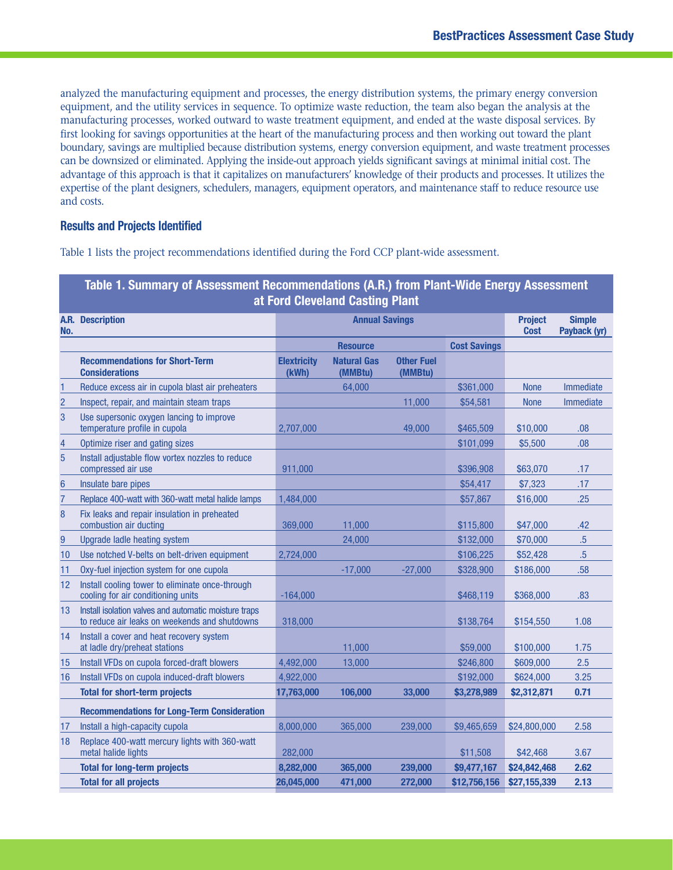analyzed the manufacturing equipment and processes, the energy distribution systems, the primary energy conversion equipment, and the utility services in sequence. To optimize waste reduction, the team also began the analysis at the manufacturing processes, worked outward to waste treatment equipment, and ended at the waste disposal services. By first looking for savings opportunities at the heart of the manufacturing process and then working out toward the plant boundary, savings are multiplied because distribution systems, energy conversion equipment, and waste treatment processes can be downsized or eliminated. Applying the inside-out approach yields significant savings at minimal initial cost. The advantage of this approach is that it capitalizes on manufacturers' knowledge of their products and processes. It utilizes the expertise of the plant designers, schedulers, managers, equipment operators, and maintenance staff to reduce resource use and costs.

### **Results and Projects Identified**

Table 1 lists the project recommendations identified during the Ford CCP plant-wide assessment.

| Table 1. Summary of Assessment Recommendations (A.R.) from Plant-Wide Energy Assessment<br>at Ford Cleveland Casting Plant |                                                                                                        |                             |                               |                              |                     |                               |                               |
|----------------------------------------------------------------------------------------------------------------------------|--------------------------------------------------------------------------------------------------------|-----------------------------|-------------------------------|------------------------------|---------------------|-------------------------------|-------------------------------|
| No.                                                                                                                        | <b>A.R.</b> Description                                                                                | <b>Annual Savings</b>       |                               |                              |                     | <b>Project</b><br><b>Cost</b> | <b>Simple</b><br>Payback (yr) |
|                                                                                                                            |                                                                                                        |                             | <b>Resource</b>               |                              | <b>Cost Savings</b> |                               |                               |
|                                                                                                                            | <b>Recommendations for Short-Term</b><br><b>Considerations</b>                                         | <b>Elextricity</b><br>(kWh) | <b>Natural Gas</b><br>(MMBtu) | <b>Other Fuel</b><br>(MMBtu) |                     |                               |                               |
| 1                                                                                                                          | Reduce excess air in cupola blast air preheaters                                                       |                             | 64.000                        |                              | \$361,000           | <b>None</b>                   | <b>Immediate</b>              |
| $\overline{c}$                                                                                                             | Inspect, repair, and maintain steam traps                                                              |                             |                               | 11,000                       | \$54,581            | <b>None</b>                   | Immediate                     |
| 3                                                                                                                          | Use supersonic oxygen lancing to improve<br>temperature profile in cupola                              | 2,707,000                   |                               | 49,000                       | \$465,509           | \$10,000                      | .08                           |
| 4                                                                                                                          | Optimize riser and gating sizes                                                                        |                             |                               |                              | \$101.099           | \$5,500                       | .08                           |
| $\overline{5}$                                                                                                             | Install adjustable flow vortex nozzles to reduce<br>compressed air use                                 | 911,000                     |                               |                              | \$396,908           | \$63,070                      | .17                           |
| 6                                                                                                                          | Insulate bare pipes                                                                                    |                             |                               |                              | \$54,417            | \$7,323                       | .17                           |
| $\overline{7}$                                                                                                             | Replace 400-watt with 360-watt metal halide lamps                                                      | 1,484,000                   |                               |                              | \$57,867            | \$16,000                      | .25                           |
| 8                                                                                                                          | Fix leaks and repair insulation in preheated<br>combustion air ducting                                 | 369,000                     | 11,000                        |                              | \$115,800           | \$47,000                      | .42                           |
| 9                                                                                                                          | Upgrade ladle heating system                                                                           |                             | 24,000                        |                              | \$132,000           | \$70,000                      | $.5\,$                        |
| 10                                                                                                                         | Use notched V-belts on belt-driven equipment                                                           | 2,724,000                   |                               |                              | \$106,225           | \$52,428                      | $.5\,$                        |
| 11                                                                                                                         | Oxy-fuel injection system for one cupola                                                               |                             | $-17,000$                     | $-27,000$                    | \$328,900           | \$186,000                     | .58                           |
| 12                                                                                                                         | Install cooling tower to eliminate once-through<br>cooling for air conditioning units                  | $-164,000$                  |                               |                              | \$468,119           | \$368,000                     | .83                           |
| 13                                                                                                                         | Install isolation valves and automatic moisture traps<br>to reduce air leaks on weekends and shutdowns | 318,000                     |                               |                              | \$138,764           | \$154,550                     | 1.08                          |
| 14                                                                                                                         | Install a cover and heat recovery system<br>at ladle dry/preheat stations                              |                             | 11,000                        |                              | \$59,000            | \$100,000                     | 1.75                          |
| 15                                                                                                                         | Install VFDs on cupola forced-draft blowers                                                            | 4,492,000                   | 13,000                        |                              | \$246,800           | \$609,000                     | 2.5                           |
| 16                                                                                                                         | Install VFDs on cupola induced-draft blowers                                                           | 4,922,000                   |                               |                              | \$192,000           | \$624,000                     | 3.25                          |
|                                                                                                                            | <b>Total for short-term projects</b>                                                                   | 17,763,000                  | 106,000                       | 33,000                       | \$3,278,989         | \$2,312,871                   | 0.71                          |
|                                                                                                                            | <b>Recommendations for Long-Term Consideration</b>                                                     |                             |                               |                              |                     |                               |                               |
| 17                                                                                                                         | Install a high-capacity cupola                                                                         | 8,000,000                   | 365,000                       | 239,000                      | \$9,465,659         | \$24,800,000                  | 2.58                          |
| 18                                                                                                                         | Replace 400-watt mercury lights with 360-watt<br>metal halide lights                                   | 282,000                     |                               |                              | \$11,508            | \$42,468                      | 3.67                          |
|                                                                                                                            | <b>Total for long-term projects</b>                                                                    | 8,282,000                   | 365,000                       | 239,000                      | \$9,477,167         | \$24,842,468                  | 2.62                          |
|                                                                                                                            | <b>Total for all projects</b>                                                                          | 26,045,000                  | 471,000                       | 272,000                      | \$12,756,156        | \$27,155,339                  | 2.13                          |